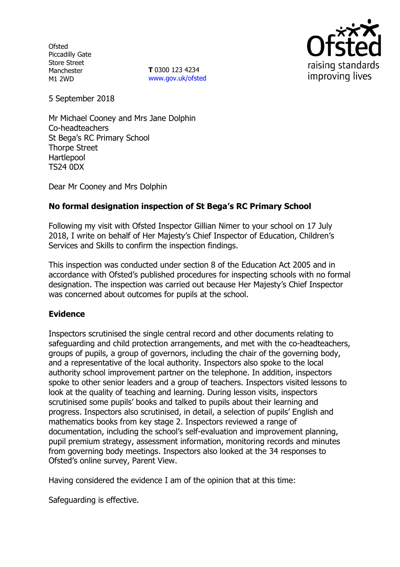**Ofsted** Piccadilly Gate Store Street Manchester M1 2WD

**T** 0300 123 4234 www.gov.uk/ofsted



5 September 2018

Mr Michael Cooney and Mrs Jane Dolphin Co-headteachers St Bega's RC Primary School Thorpe Street Hartlepool TS24 0DX

Dear Mr Cooney and Mrs Dolphin

# **No formal designation inspection of St Bega's RC Primary School**

Following my visit with Ofsted Inspector Gillian Nimer to your school on 17 July 2018, I write on behalf of Her Majesty's Chief Inspector of Education, Children's Services and Skills to confirm the inspection findings.

This inspection was conducted under section 8 of the Education Act 2005 and in accordance with Ofsted's published procedures for inspecting schools with no formal designation. The inspection was carried out because Her Majesty's Chief Inspector was concerned about outcomes for pupils at the school.

# **Evidence**

Inspectors scrutinised the single central record and other documents relating to safeguarding and child protection arrangements, and met with the co-headteachers, groups of pupils, a group of governors, including the chair of the governing body, and a representative of the local authority. Inspectors also spoke to the local authority school improvement partner on the telephone. In addition, inspectors spoke to other senior leaders and a group of teachers. Inspectors visited lessons to look at the quality of teaching and learning. During lesson visits, inspectors scrutinised some pupils' books and talked to pupils about their learning and progress. Inspectors also scrutinised, in detail, a selection of pupils' English and mathematics books from key stage 2. Inspectors reviewed a range of documentation, including the school's self-evaluation and improvement planning, pupil premium strategy, assessment information, monitoring records and minutes from governing body meetings. Inspectors also looked at the 34 responses to Ofsted's online survey, Parent View.

Having considered the evidence I am of the opinion that at this time:

Safeguarding is effective.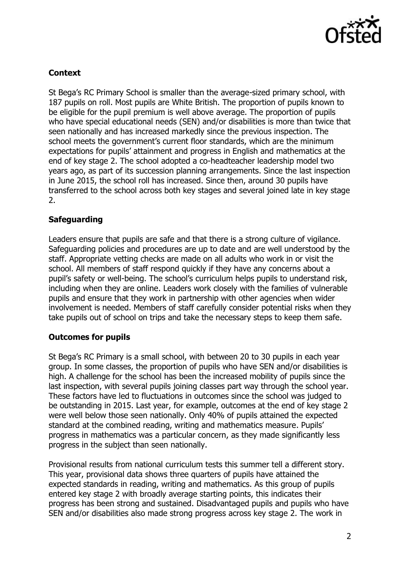

### **Context**

St Bega's RC Primary School is smaller than the average-sized primary school, with 187 pupils on roll. Most pupils are White British. The proportion of pupils known to be eligible for the pupil premium is well above average. The proportion of pupils who have special educational needs (SEN) and/or disabilities is more than twice that seen nationally and has increased markedly since the previous inspection. The school meets the government's current floor standards, which are the minimum expectations for pupils' attainment and progress in English and mathematics at the end of key stage 2. The school adopted a co-headteacher leadership model two years ago, as part of its succession planning arrangements. Since the last inspection in June 2015, the school roll has increased. Since then, around 30 pupils have transferred to the school across both key stages and several joined late in key stage 2.

### **Safeguarding**

Leaders ensure that pupils are safe and that there is a strong culture of vigilance. Safeguarding policies and procedures are up to date and are well understood by the staff. Appropriate vetting checks are made on all adults who work in or visit the school. All members of staff respond quickly if they have any concerns about a pupil's safety or well-being. The school's curriculum helps pupils to understand risk, including when they are online. Leaders work closely with the families of vulnerable pupils and ensure that they work in partnership with other agencies when wider involvement is needed. Members of staff carefully consider potential risks when they take pupils out of school on trips and take the necessary steps to keep them safe.

#### **Outcomes for pupils**

St Bega's RC Primary is a small school, with between 20 to 30 pupils in each year group. In some classes, the proportion of pupils who have SEN and/or disabilities is high. A challenge for the school has been the increased mobility of pupils since the last inspection, with several pupils joining classes part way through the school year. These factors have led to fluctuations in outcomes since the school was judged to be outstanding in 2015. Last year, for example, outcomes at the end of key stage 2 were well below those seen nationally. Only 40% of pupils attained the expected standard at the combined reading, writing and mathematics measure. Pupils' progress in mathematics was a particular concern, as they made significantly less progress in the subject than seen nationally.

Provisional results from national curriculum tests this summer tell a different story. This year, provisional data shows three quarters of pupils have attained the expected standards in reading, writing and mathematics. As this group of pupils entered key stage 2 with broadly average starting points, this indicates their progress has been strong and sustained. Disadvantaged pupils and pupils who have SEN and/or disabilities also made strong progress across key stage 2. The work in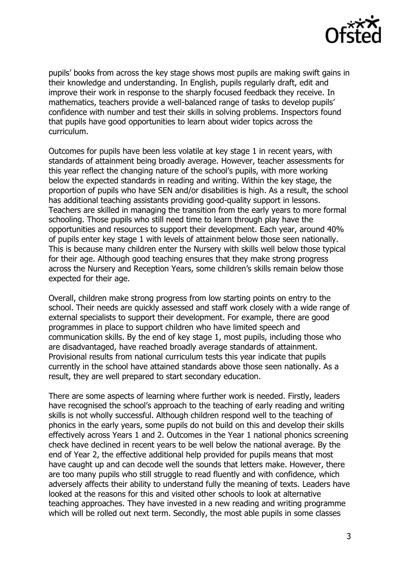

pupils' books from across the key stage shows most pupils are making swift gains in their knowledge and understanding. In English, pupils regularly draft, edit and improve their work in response to the sharply focused feedback they receive. In mathematics, teachers provide a well-balanced range of tasks to develop pupils' confidence with number and test their skills in solving problems. Inspectors found that pupils have good opportunities to learn about wider topics across the curriculum.

Outcomes for pupils have been less volatile at key stage 1 in recent years, with standards of attainment being broadly average. However, teacher assessments for this year reflect the changing nature of the school's pupils, with more working below the expected standards in reading and writing. Within the key stage, the proportion of pupils who have SEN and/or disabilities is high. As a result, the school has additional teaching assistants providing good-quality support in lessons. Teachers are skilled in managing the transition from the early years to more formal schooling. Those pupils who still need time to learn through play have the opportunities and resources to support their development. Each year, around 40% of pupils enter key stage 1 with levels of attainment below those seen nationally. This is because many children enter the Nursery with skills well below those typical for their age. Although good teaching ensures that they make strong progress across the Nursery and Reception Years, some children's skills remain below those expected for their age.

Overall, children make strong progress from low starting points on entry to the school. Their needs are quickly assessed and staff work closely with a wide range of external specialists to support their development. For example, there are good programmes in place to support children who have limited speech and communication skills. By the end of key stage 1, most pupils, including those who are disadvantaged, have reached broadly average standards of attainment. Provisional results from national curriculum tests this year indicate that pupils currently in the school have attained standards above those seen nationally. As a result, they are well prepared to start secondary education.

There are some aspects of learning where further work is needed. Firstly, leaders have recognised the school's approach to the teaching of early reading and writing skills is not wholly successful. Although children respond well to the teaching of phonics in the early years, some pupils do not build on this and develop their skills effectively across Years 1 and 2. Outcomes in the Year 1 national phonics screening check have declined in recent years to be well below the national average. By the end of Year 2, the effective additional help provided for pupils means that most have caught up and can decode well the sounds that letters make. However, there are too many pupils who still struggle to read fluently and with confidence, which adversely affects their ability to understand fully the meaning of texts. Leaders have looked at the reasons for this and visited other schools to look at alternative teaching approaches. They have invested in a new reading and writing programme which will be rolled out next term. Secondly, the most able pupils in some classes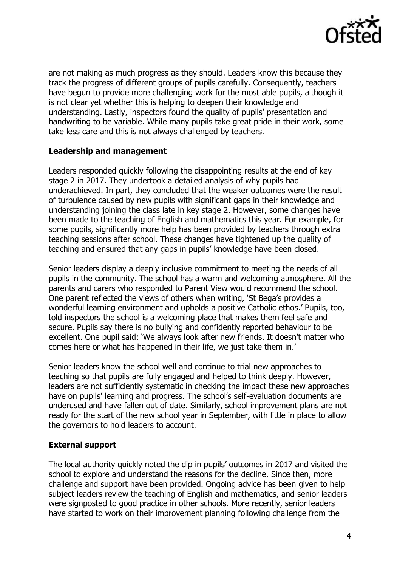

are not making as much progress as they should. Leaders know this because they track the progress of different groups of pupils carefully. Consequently, teachers have begun to provide more challenging work for the most able pupils, although it is not clear yet whether this is helping to deepen their knowledge and understanding. Lastly, inspectors found the quality of pupils' presentation and handwriting to be variable. While many pupils take great pride in their work, some take less care and this is not always challenged by teachers.

#### **Leadership and management**

Leaders responded quickly following the disappointing results at the end of key stage 2 in 2017. They undertook a detailed analysis of why pupils had underachieved. In part, they concluded that the weaker outcomes were the result of turbulence caused by new pupils with significant gaps in their knowledge and understanding joining the class late in key stage 2. However, some changes have been made to the teaching of English and mathematics this year. For example, for some pupils, significantly more help has been provided by teachers through extra teaching sessions after school. These changes have tightened up the quality of teaching and ensured that any gaps in pupils' knowledge have been closed.

Senior leaders display a deeply inclusive commitment to meeting the needs of all pupils in the community. The school has a warm and welcoming atmosphere. All the parents and carers who responded to Parent View would recommend the school. One parent reflected the views of others when writing, 'St Bega's provides a wonderful learning environment and upholds a positive Catholic ethos.' Pupils, too, told inspectors the school is a welcoming place that makes them feel safe and secure. Pupils say there is no bullying and confidently reported behaviour to be excellent. One pupil said: 'We always look after new friends. It doesn't matter who comes here or what has happened in their life, we just take them in.'

Senior leaders know the school well and continue to trial new approaches to teaching so that pupils are fully engaged and helped to think deeply. However, leaders are not sufficiently systematic in checking the impact these new approaches have on pupils' learning and progress. The school's self-evaluation documents are underused and have fallen out of date. Similarly, school improvement plans are not ready for the start of the new school year in September, with little in place to allow the governors to hold leaders to account.

# **External support**

The local authority quickly noted the dip in pupils' outcomes in 2017 and visited the school to explore and understand the reasons for the decline. Since then, more challenge and support have been provided. Ongoing advice has been given to help subject leaders review the teaching of English and mathematics, and senior leaders were signposted to good practice in other schools. More recently, senior leaders have started to work on their improvement planning following challenge from the